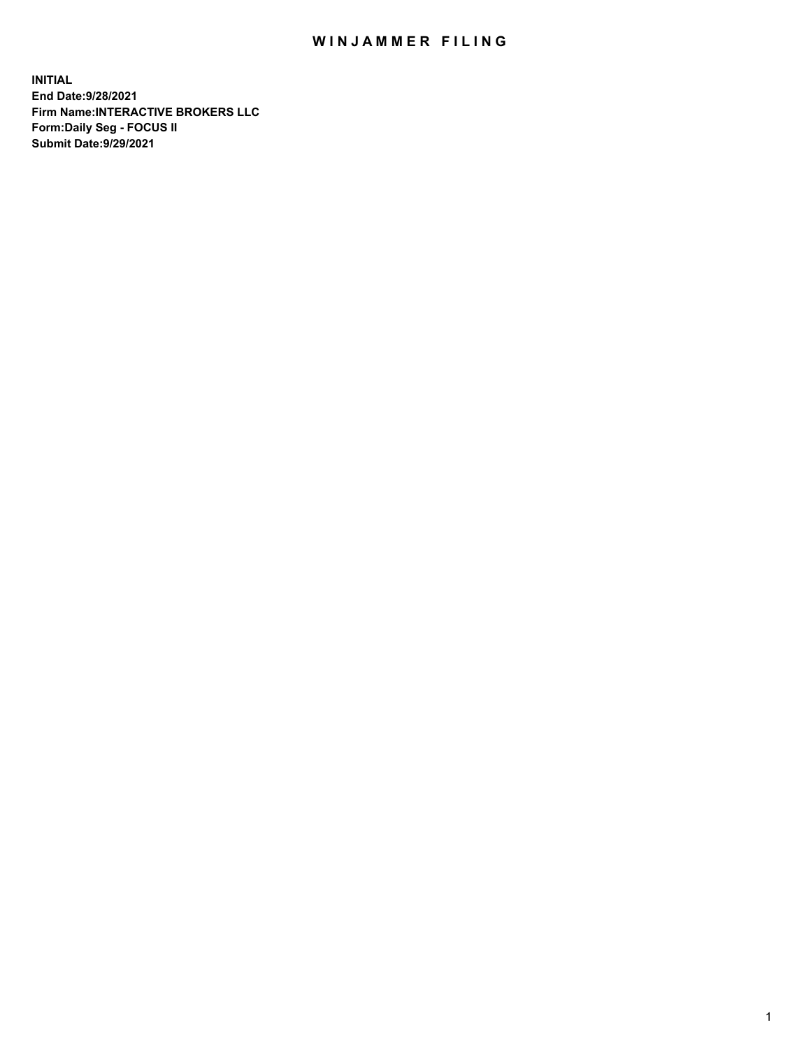## WIN JAMMER FILING

**INITIAL End Date:9/28/2021 Firm Name:INTERACTIVE BROKERS LLC Form:Daily Seg - FOCUS II Submit Date:9/29/2021**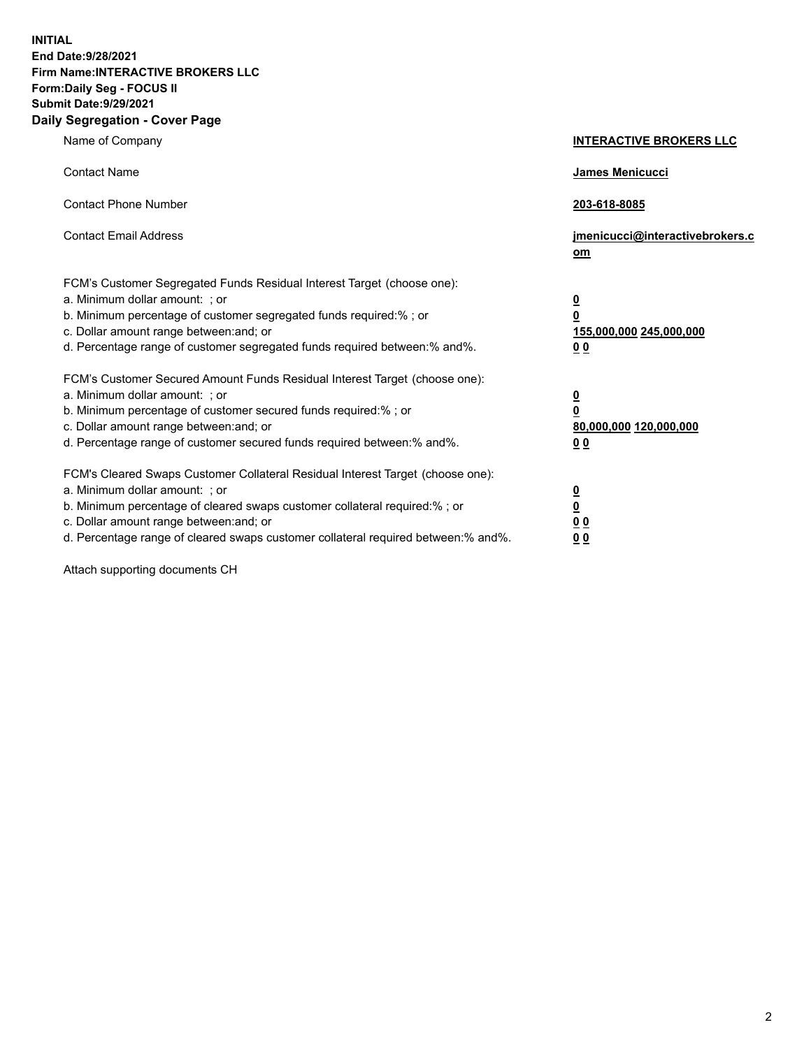**INITIAL End Date:9/28/2021 Firm Name:INTERACTIVE BROKERS LLC Form:Daily Seg - FOCUS II Submit Date:9/29/2021 Daily Segregation - Cover Page**

| Name of Company                                                                                                                                                                                                                                                                                                                | <b>INTERACTIVE BROKERS LLC</b>                                                   |  |
|--------------------------------------------------------------------------------------------------------------------------------------------------------------------------------------------------------------------------------------------------------------------------------------------------------------------------------|----------------------------------------------------------------------------------|--|
| <b>Contact Name</b>                                                                                                                                                                                                                                                                                                            | James Menicucci                                                                  |  |
| <b>Contact Phone Number</b>                                                                                                                                                                                                                                                                                                    | 203-618-8085                                                                     |  |
| <b>Contact Email Address</b>                                                                                                                                                                                                                                                                                                   | jmenicucci@interactivebrokers.c<br>om                                            |  |
| FCM's Customer Segregated Funds Residual Interest Target (choose one):<br>a. Minimum dollar amount: ; or<br>b. Minimum percentage of customer segregated funds required:% ; or<br>c. Dollar amount range between: and; or<br>d. Percentage range of customer segregated funds required between:% and%.                         | <u>0</u><br>$\overline{\mathbf{0}}$<br>155,000,000 245,000,000<br>0 <sub>0</sub> |  |
| FCM's Customer Secured Amount Funds Residual Interest Target (choose one):<br>a. Minimum dollar amount: ; or<br>b. Minimum percentage of customer secured funds required:% ; or<br>c. Dollar amount range between: and; or<br>d. Percentage range of customer secured funds required between:% and%.                           | <u>0</u><br>$\overline{\mathbf{0}}$<br>80,000,000 120,000,000<br>0 <sub>0</sub>  |  |
| FCM's Cleared Swaps Customer Collateral Residual Interest Target (choose one):<br>a. Minimum dollar amount: ; or<br>b. Minimum percentage of cleared swaps customer collateral required:% ; or<br>c. Dollar amount range between: and; or<br>d. Percentage range of cleared swaps customer collateral required between:% and%. | <u>0</u><br>$\underline{\mathbf{0}}$<br>0 <sub>0</sub><br>0 <sub>0</sub>         |  |

Attach supporting documents CH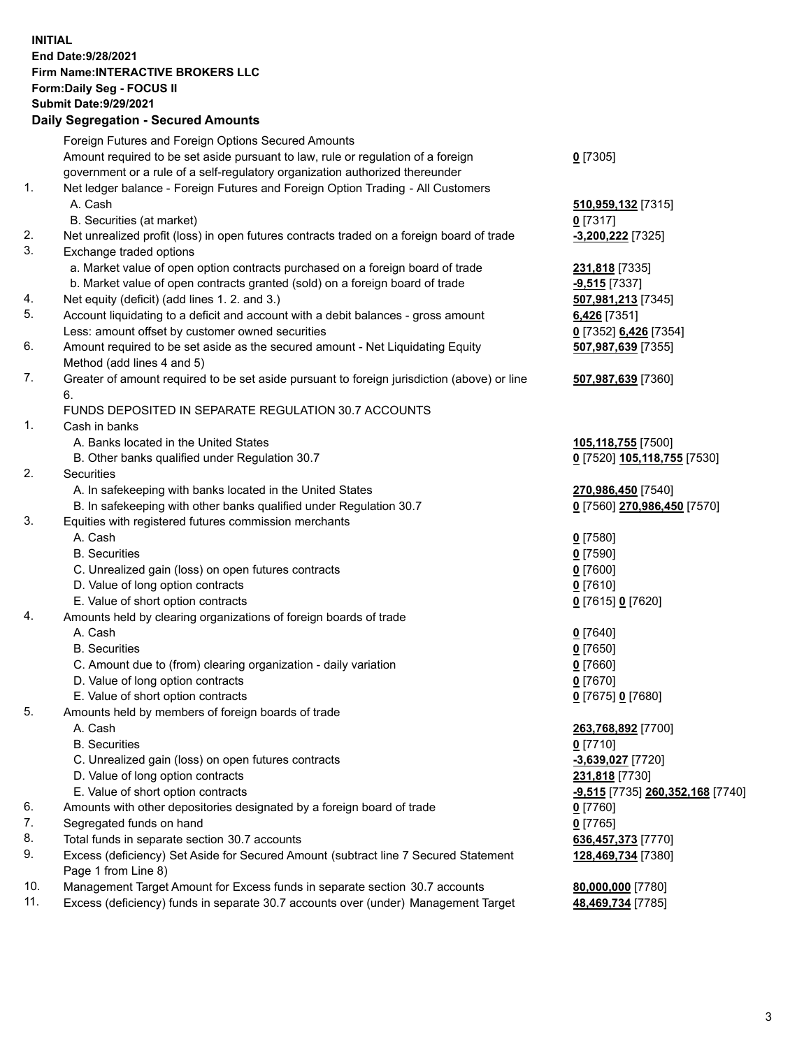**INITIAL End Date:9/28/2021 Firm Name:INTERACTIVE BROKERS LLC Form:Daily Seg - FOCUS II Submit Date:9/29/2021 Daily Segregation - Secured Amounts**

## Foreign Futures and Foreign Options Secured Amounts Amount required to be set aside pursuant to law, rule or regulation of a foreign government or a rule of a self-regulatory organization authorized thereunder **0** [7305] 1. Net ledger balance - Foreign Futures and Foreign Option Trading - All Customers A. Cash **510,959,132** [7315] B. Securities (at market) **0** [7317] 2. Net unrealized profit (loss) in open futures contracts traded on a foreign board of trade **-3,200,222** [7325] 3. Exchange traded options a. Market value of open option contracts purchased on a foreign board of trade **231,818** [7335] b. Market value of open contracts granted (sold) on a foreign board of trade **-9,515** [7337] 4. Net equity (deficit) (add lines 1. 2. and 3.) **507,981,213** [7345] 5. Account liquidating to a deficit and account with a debit balances - gross amount **6,426** [7351] Less: amount offset by customer owned securities **0** [7352] **6,426** [7354] 6. Amount required to be set aside as the secured amount - Net Liquidating Equity Method (add lines 4 and 5) **507,987,639** [7355] 7. Greater of amount required to be set aside pursuant to foreign jurisdiction (above) or line 6. **507,987,639** [7360] FUNDS DEPOSITED IN SEPARATE REGULATION 30.7 ACCOUNTS 1. Cash in banks A. Banks located in the United States **105,118,755** [7500] B. Other banks qualified under Regulation 30.7 **0** [7520] **105,118,755** [7530] 2. Securities A. In safekeeping with banks located in the United States **270,986,450** [7540] B. In safekeeping with other banks qualified under Regulation 30.7 **0** [7560] **270,986,450** [7570] 3. Equities with registered futures commission merchants A. Cash **0** [7580] B. Securities **0** [7590] C. Unrealized gain (loss) on open futures contracts **0** [7600] D. Value of long option contracts **0** [7610] E. Value of short option contracts **0** [7615] **0** [7620] 4. Amounts held by clearing organizations of foreign boards of trade A. Cash **0** [7640] B. Securities **0** [7650] C. Amount due to (from) clearing organization - daily variation **0** [7660] D. Value of long option contracts **0** [7670] E. Value of short option contracts **0** [7675] **0** [7680] 5. Amounts held by members of foreign boards of trade A. Cash **263,768,892** [7700] B. Securities **0** [7710] C. Unrealized gain (loss) on open futures contracts **-3,639,027** [7720] D. Value of long option contracts **231,818** [7730] E. Value of short option contracts **-9,515** [7735] **260,352,168** [7740] 6. Amounts with other depositories designated by a foreign board of trade **0** [7760] 7. Segregated funds on hand **0** [7765] 8. Total funds in separate section 30.7 accounts **636,457,373** [7770] 9. Excess (deficiency) Set Aside for Secured Amount (subtract line 7 Secured Statement Page 1 from Line 8) **128,469,734** [7380] 10. Management Target Amount for Excess funds in separate section 30.7 accounts **80,000,000** [7780] 11. Excess (deficiency) funds in separate 30.7 accounts over (under) Management Target **48,469,734** [7785]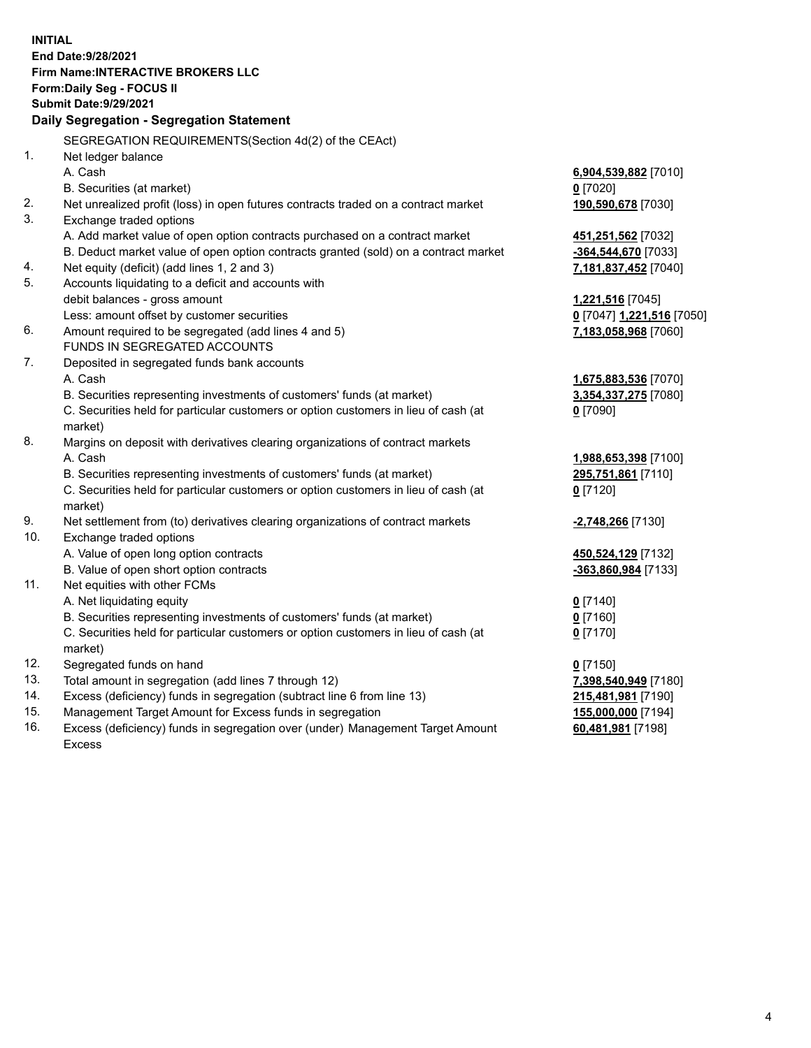**INITIAL End Date:9/28/2021 Firm Name:INTERACTIVE BROKERS LLC Form:Daily Seg - FOCUS II Submit Date:9/29/2021 Daily Segregation - Segregation Statement** SEGREGATION REQUIREMENTS(Section 4d(2) of the CEAct) 1. Net ledger balance A. Cash **6,904,539,882** [7010] B. Securities (at market) **0** [7020] 2. Net unrealized profit (loss) in open futures contracts traded on a contract market **190,590,678** [7030] 3. Exchange traded options A. Add market value of open option contracts purchased on a contract market **451,251,562** [7032] B. Deduct market value of open option contracts granted (sold) on a contract market **-364,544,670** [7033] 4. Net equity (deficit) (add lines 1, 2 and 3) **7,181,837,452** [7040] 5. Accounts liquidating to a deficit and accounts with debit balances - gross amount **1,221,516** [7045] Less: amount offset by customer securities **0** [7047] **1,221,516** [7050] 6. Amount required to be segregated (add lines 4 and 5) **7,183,058,968** [7060] FUNDS IN SEGREGATED ACCOUNTS 7. Deposited in segregated funds bank accounts A. Cash **1,675,883,536** [7070] B. Securities representing investments of customers' funds (at market) **3,354,337,275** [7080] C. Securities held for particular customers or option customers in lieu of cash (at market) **0** [7090] 8. Margins on deposit with derivatives clearing organizations of contract markets A. Cash **1,988,653,398** [7100] B. Securities representing investments of customers' funds (at market) **295,751,861** [7110] C. Securities held for particular customers or option customers in lieu of cash (at market) **0** [7120] 9. Net settlement from (to) derivatives clearing organizations of contract markets **-2,748,266** [7130] 10. Exchange traded options A. Value of open long option contracts **450,524,129** [7132] B. Value of open short option contracts **-363,860,984** [7133] 11. Net equities with other FCMs A. Net liquidating equity **0** [7140] B. Securities representing investments of customers' funds (at market) **0** [7160] C. Securities held for particular customers or option customers in lieu of cash (at market) **0** [7170] 12. Segregated funds on hand **0** [7150] 13. Total amount in segregation (add lines 7 through 12) **7,398,540,949** [7180] 14. Excess (deficiency) funds in segregation (subtract line 6 from line 13) **215,481,981** [7190] 15. Management Target Amount for Excess funds in segregation **155,000,000** [7194] **60,481,981** [7198]

16. Excess (deficiency) funds in segregation over (under) Management Target Amount Excess